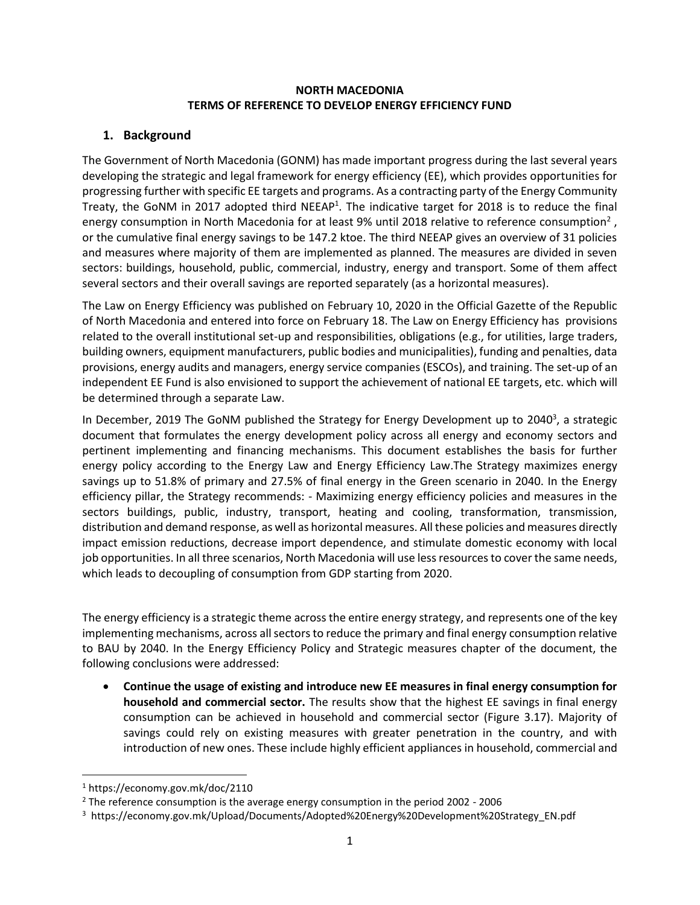#### **NORTH MACEDONIA TERMS OF REFERENCE TO DEVELOP ENERGY EFFICIENCY FUND**

## **1. Background**

The Government of North Macedonia (GONM) has made important progress during the last several years developing the strategic and legal framework for energy efficiency (EE), which provides opportunities for progressing further with specific EE targets and programs. As a contracting party of the Energy Community Treaty, the GoNM in 2017 adopted third NEEAP<sup>1</sup>. The indicative target for 2018 is to reduce the final energy consumption in North Macedonia for at least 9% until 2018 relative to reference consumption<sup>2</sup>, or the cumulative final energy savings to be 147.2 ktoe. The third NEEAP gives an overview of 31 policies and measures where majority of them are implemented as planned. The measures are divided in seven sectors: buildings, household, public, commercial, industry, energy and transport. Some of them affect several sectors and their overall savings are reported separately (as a horizontal measures).

The Law on Energy Efficiency was published on February 10, 2020 in the Official Gazette of the Republic of North Macedonia and entered into force on February 18. The Law on Energy Efficiency has provisions related to the overall institutional set-up and responsibilities, obligations (e.g., for utilities, large traders, building owners, equipment manufacturers, public bodies and municipalities), funding and penalties, data provisions, energy audits and managers, energy service companies (ESCOs), and training. The set-up of an independent EE Fund is also envisioned to support the achievement of national EE targets, etc. which will be determined through a separate Law.

In December, 2019 The GoNM published the Strategy for Energy Development up to 2040<sup>3</sup>, a strategic document that formulates the energy development policy across all energy and economy sectors and pertinent implementing and financing mechanisms. This document establishes the basis for further energy policy according to the Energy Law and Energy Efficiency Law.The Strategy maximizes energy savings up to 51.8% of primary and 27.5% of final energy in the Green scenario in 2040. In the Energy efficiency pillar, the Strategy recommends: - Maximizing energy efficiency policies and measures in the sectors buildings, public, industry, transport, heating and cooling, transformation, transmission, distribution and demand response, as well as horizontal measures. All these policies and measures directly impact emission reductions, decrease import dependence, and stimulate domestic economy with local job opportunities. In all three scenarios, North Macedonia will use less resources to cover the same needs, which leads to decoupling of consumption from GDP starting from 2020.

The energy efficiency is a strategic theme across the entire energy strategy, and represents one of the key implementing mechanisms, across all sectors to reduce the primary and final energy consumption relative to BAU by 2040. In the Energy Efficiency Policy and Strategic measures chapter of the document, the following conclusions were addressed:

• **Continue the usage of existing and introduce new EE measures in final energy consumption for household and commercial sector.** The results show that the highest EE savings in final energy consumption can be achieved in household and commercial sector (Figure 3.17). Majority of savings could rely on existing measures with greater penetration in the country, and with introduction of new ones. These include highly efficient appliances in household, commercial and

<sup>1</sup> https://economy.gov.mk/doc/2110

 $2$  The reference consumption is the average energy consumption in the period 2002 - 2006

<sup>3</sup> https://economy.gov.mk/Upload/Documents/Adopted%20Energy%20Development%20Strategy\_EN.pdf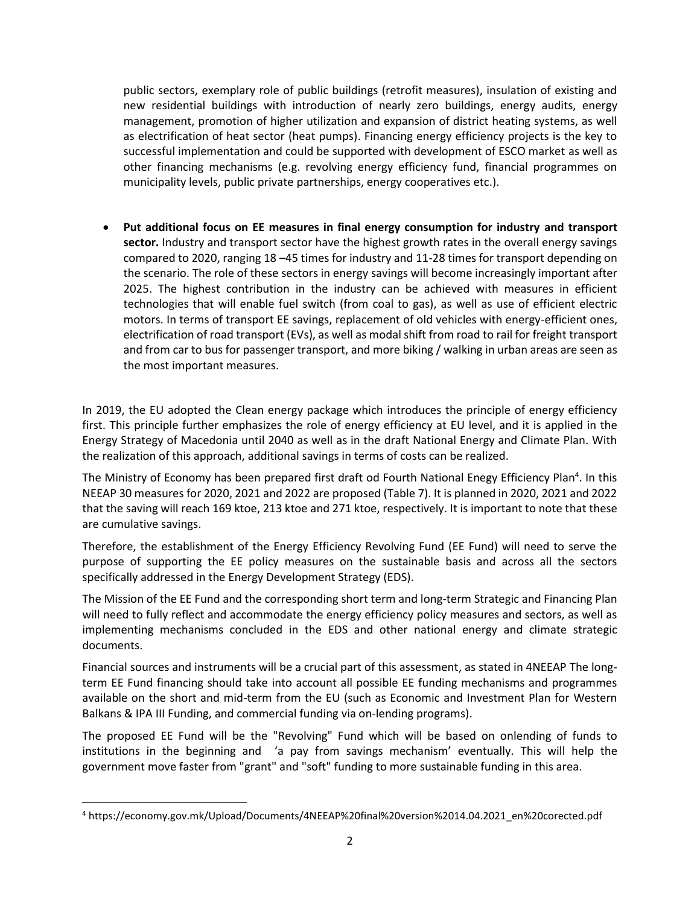public sectors, exemplary role of public buildings (retrofit measures), insulation of existing and new residential buildings with introduction of nearly zero buildings, energy audits, energy management, promotion of higher utilization and expansion of district heating systems, as well as electrification of heat sector (heat pumps). Financing energy efficiency projects is the key to successful implementation and could be supported with development of ESCO market as well as other financing mechanisms (e.g. revolving energy efficiency fund, financial programmes on municipality levels, public private partnerships, energy cooperatives etc.).

• **Put additional focus on EE measures in final energy consumption for industry and transport sector.** Industry and transport sector have the highest growth rates in the overall energy savings compared to 2020, ranging 18 –45 times for industry and 11-28 times for transport depending on the scenario. The role of these sectors in energy savings will become increasingly important after 2025. The highest contribution in the industry can be achieved with measures in efficient technologies that will enable fuel switch (from coal to gas), as well as use of efficient electric motors. In terms of transport EE savings, replacement of old vehicles with energy-efficient ones, electrification of road transport (EVs), as well as modal shift from road to rail for freight transport and from car to bus for passenger transport, and more biking / walking in urban areas are seen as the most important measures.

In 2019, the EU adopted the Clean energy package which introduces the principle of energy efficiency first. This principle further emphasizes the role of energy efficiency at EU level, and it is applied in the Energy Strategy of Macedonia until 2040 as well as in the draft National Energy and Climate Plan. With the realization of this approach, additional savings in terms of costs can be realized.

The Ministry of Economy has been prepared first draft od Fourth National Enegy Efficiency Plan<sup>4</sup>. In this NEEAP 30 measures for 2020, 2021 and 2022 are proposed (Table 7). It is planned in 2020, 2021 and 2022 that the saving will reach 169 ktoe, 213 ktoe and 271 ktoe, respectively. It is important to note that these are cumulative savings.

Therefore, the establishment of the Energy Efficiency Revolving Fund (EE Fund) will need to serve the purpose of supporting the EE policy measures on the sustainable basis and across all the sectors specifically addressed in the Energy Development Strategy (EDS).

The Mission of the EE Fund and the corresponding short term and long-term Strategic and Financing Plan will need to fully reflect and accommodate the energy efficiency policy measures and sectors, as well as implementing mechanisms concluded in the EDS and other national energy and climate strategic documents.

Financial sources and instruments will be a crucial part of this assessment, as stated in 4NEEAP The longterm EE Fund financing should take into account all possible EE funding mechanisms and programmes available on the short and mid-term from the EU (such as Economic and Investment Plan for Western Balkans & IPA III Funding, and commercial funding via on-lending programs).

The proposed EE Fund will be the "Revolving" Fund which will be based on onlending of funds to institutions in the beginning and 'a pay from savings mechanism' eventually. This will help the government move faster from "grant" and "soft" funding to more sustainable funding in this area.

<sup>4</sup> https://economy.gov.mk/Upload/Documents/4NEEAP%20final%20version%2014.04.2021\_en%20corected.pdf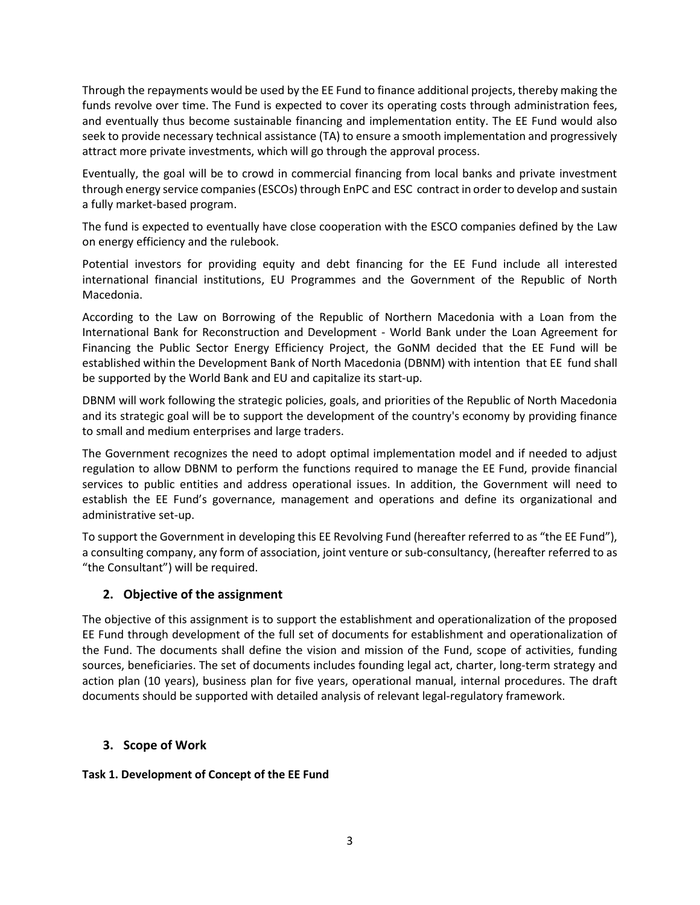Through the repayments would be used by the EE Fund to finance additional projects, thereby making the funds revolve over time. The Fund is expected to cover its operating costs through administration fees, and eventually thus become sustainable financing and implementation entity. The EE Fund would also seek to provide necessary technical assistance (TA) to ensure a smooth implementation and progressively attract more private investments, which will go through the approval process.

Eventually, the goal will be to crowd in commercial financing from local banks and private investment through energy service companies (ESCOs) through EnPC and ESC contract in order to develop and sustain a fully market-based program.

The fund is expected to eventually have close cooperation with the ESCO companies defined by the Law on energy efficiency and the rulebook.

Potential investors for providing equity and debt financing for the EE Fund include аll interested international financial institutions, EU Programmes and the Government of the Republic of North Macedonia.

According to the Law on Borrowing of the Republic of Northern Macedonia with a Loan from the International Bank for Reconstruction and Development - World Bank under the Loan Agreement for Financing the Public Sector Energy Efficiency Project, the GoNM decided that the EE Fund will be established within the Development Bank of North Macedonia (DBNM) with intention that EE fund shall be supported by the World Bank and EU and capitalize its start-up.

DBNM will work following the strategic policies, goals, and priorities of the Republic of North Macedonia and its strategic goal will be to support the development of the country's economy by providing finance to small and medium enterprises and large traders.

The Government recognizes the need to adopt optimal implementation model and if needed to adjust regulation to allow DBNM to perform the functions required to manage the EE Fund, provide financial services to public entities and address operational issues. In addition, the Government will need to establish the EE Fund's governance, management and operations and define its organizational and administrative set-up.

To support the Government in developing this EE Revolving Fund (hereafter referred to as "the EE Fund"), a consulting company, any form of association, joint venture or sub-consultancy, (hereafter referred to as "the Consultant") will be required.

# **2. Objective of the assignment**

The objective of this assignment is to support the establishment and operationalization of the proposed EE Fund through development of the full set of documents for establishment and operationalization of the Fund. The documents shall define the vision and mission of the Fund, scope of activities, funding sources, beneficiaries. The set of documents includes founding legal act, charter, long-term strategy and action plan (10 years), business plan for five years, operational manual, internal procedures. The draft documents should be supported with detailed analysis of relevant legal-regulatory framework.

## **3. Scope of Work**

## **Task 1. Development of Concept of the EE Fund**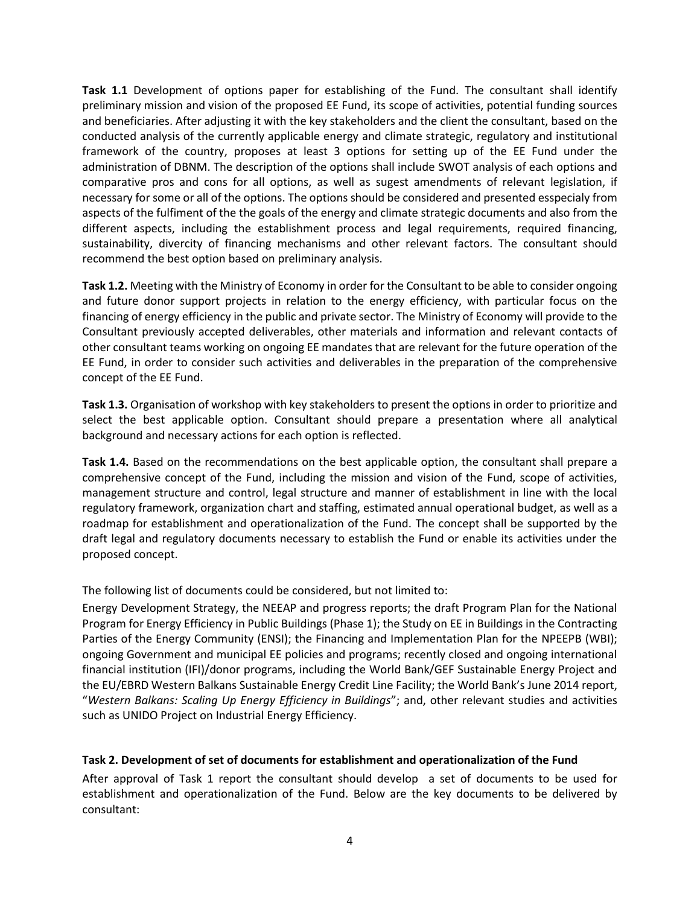**Task 1.1** Development of options paper for establishing of the Fund. The consultant shall identify preliminary mission and vision of the proposed EE Fund, its scope of activities, potential funding sources and beneficiaries. After adjusting it with the key stakeholders and the client the consultant, based on the conducted analysis of the currently applicable energy and climate strategic, regulatory and institutional framework of the country, proposes at least 3 options for setting up of the EE Fund under the administration of DBNM. The description of the options shall include SWOT analysis of each options and comparative pros and cons for all options, as well as sugest amendments of relevant legislation, if necessary for some or all of the options. The options should be considered and presented esspecialy from aspects of the fulfiment of the the goals of the energy and climate strategic documents and also from the different aspects, including the establishment process and legal requirements, required financing, sustainability, divercity of financing mechanisms and other relevant factors. The consultant should recommend the best option based on preliminary analysis.

**Task 1.2.** Meeting with the Ministry of Economy in order for the Consultant to be able to consider ongoing and future donor support projects in relation to the energy efficiency, with particular focus on the financing of energy efficiency in the public and private sector. The Ministry of Economy will provide to the Consultant previously accepted deliverables, other materials and information and relevant contacts of other consultant teams working on ongoing EE mandates that are relevant for the future operation of the EE Fund, in order to consider such activities and deliverables in the preparation of the comprehensive concept of the EE Fund.

**Таsk 1.3.** Organisation of workshop with key stakeholders to present the options in order to prioritize and select the best applicable option. Consultant should prepare a presentation where all analytical background and necessary actions for each option is reflected.

**Task 1.4.** Based on the recommendations on the best applicable option, the consultant shall prepare a comprehensive concept of the Fund, including the mission and vision of the Fund, scope of activities, management structure and control, legal structure and manner of establishment in line with the local regulatory framework, organization chart and staffing, estimated annual operational budget, as well as a roadmap for establishment and operationalization of the Fund. The concept shall be supported by the draft legal and regulatory documents necessary to establish the Fund or enable its activities under the proposed concept.

The following list of documents could be considered, but not limited to:

Energy Development Strategy, the NEEAP and progress reports; the draft Program Plan for the National Program for Energy Efficiency in Public Buildings (Phase 1); the Study on EE in Buildings in the Contracting Parties of the Energy Community (ENSI); the Financing and Implementation Plan for the NPEEPB (WBI); ongoing Government and municipal EE policies and programs; recently closed and ongoing international financial institution (IFI)/donor programs, including the World Bank/GEF Sustainable Energy Project and the EU/EBRD Western Balkans Sustainable Energy Credit Line Facility; the World Bank's June 2014 report, "*Western Balkans: Scaling Up Energy Efficiency in Buildings*"; and, other relevant studies and activities such as UNIDO Project on Industrial Energy Efficiency.

## **Task 2. Development of set of documents for establishment and operationalization of the Fund**

After approval of Task 1 report the consultant should develop a set of documents to be used for establishment and operationalization of the Fund. Below are the key documents to be delivered by consultant: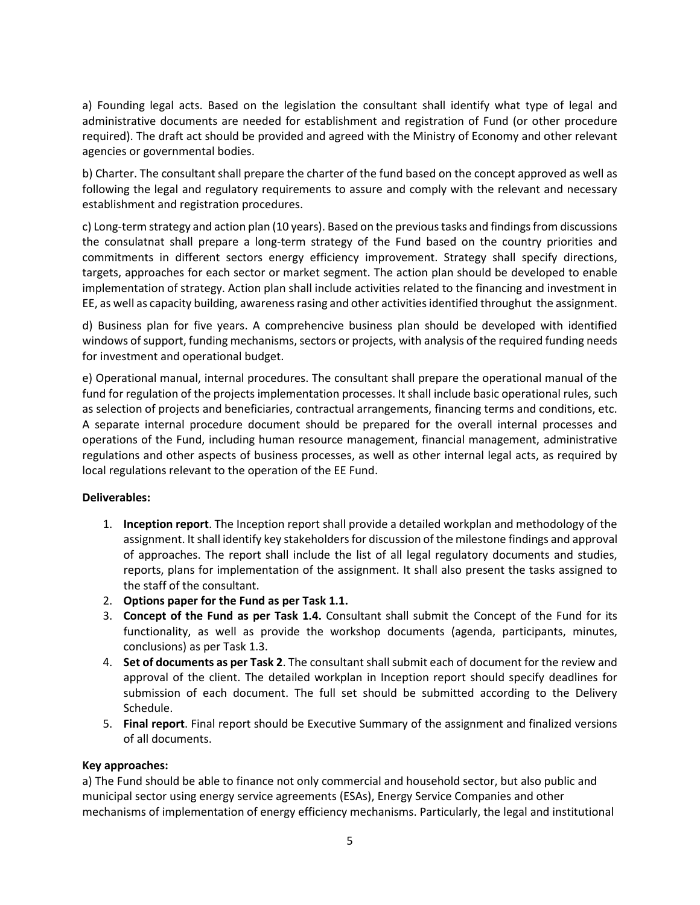a) Founding legal acts. Based on the legislation the consultant shall identify what type of legal and administrative documents are needed for establishment and registration of Fund (or other procedure required). The draft act should be provided and agreed with the Ministry of Economy and other relevant agencies or governmental bodies.

b) Charter. The consultant shall prepare the charter of the fund based on the concept approved as well as following the legal and regulatory requirements to assure and comply with the relevant and necessary establishment and registration procedures.

c) Long-term strategy and action plan (10 years). Based on the previous tasks and findings from discussions the consulatnat shall prepare a long-term strategy of the Fund based on the country priorities and commitments in different sectors energy efficiency improvement. Strategy shall specify directions, targets, approaches for each sector or market segment. The action plan should be developed to enable implementation of strategy. Action plan shall include activities related to the financing and investment in EE, as well as capacity building, awareness rasing and other activities identified throughut the assignment.

d) Business plan for five years. A comprehencive business plan should be developed with identified windows of support, funding mechanisms, sectors or projects, with analysis of the required funding needs for investment and operational budget.

e) Operational manual, internal procedures. The consultant shall prepare the operational manual of the fund for regulation of the projects implementation processes. It shall include basic operational rules, such as selection of projects and beneficiaries, contractual arrangements, financing terms and conditions, etc. A separate internal procedure document should be prepared for the overall internal processes and operations of the Fund, including human resource management, financial management, administrative regulations and other aspects of business processes, as well as other internal legal acts, as required by local regulations relevant to the operation of the EE Fund.

#### **Deliverables:**

- 1. **Inception report**. The Inception report shall provide a detailed workplan and methodology of the assignment. It shall identify key stakeholders for discussion of the milestone findings and approval of approaches. The report shall include the list of all legal regulatory documents and studies, reports, plans for implementation of the assignment. It shall also present the tasks assigned to the staff of the consultant.
- 2. **Options paper for the Fund as per Task 1.1.**
- 3. **Concept of the Fund as per Task 1.4.** Consultant shall submit the Concept of the Fund for its functionality, as well as provide the workshop documents (agenda, participants, minutes, conclusions) as per Task 1.3.
- 4. **Set of documents as per Task 2**. The consultant shall submit each of document for the review and approval of the client. The detailed workplan in Inception report should specify deadlines for submission of each document. The full set should be submitted according to the Delivery Schedule.
- 5. **Final report**. Final report should be Executive Summary of the assignment and finalized versions of all documents.

#### **Key approaches:**

a) The Fund should be able to finance not only commercial and household sector, but also public and municipal sector using energy service agreements (ESAs), Energy Service Companies and other mechanisms of implementation of energy efficiency mechanisms. Particularly, the legal and institutional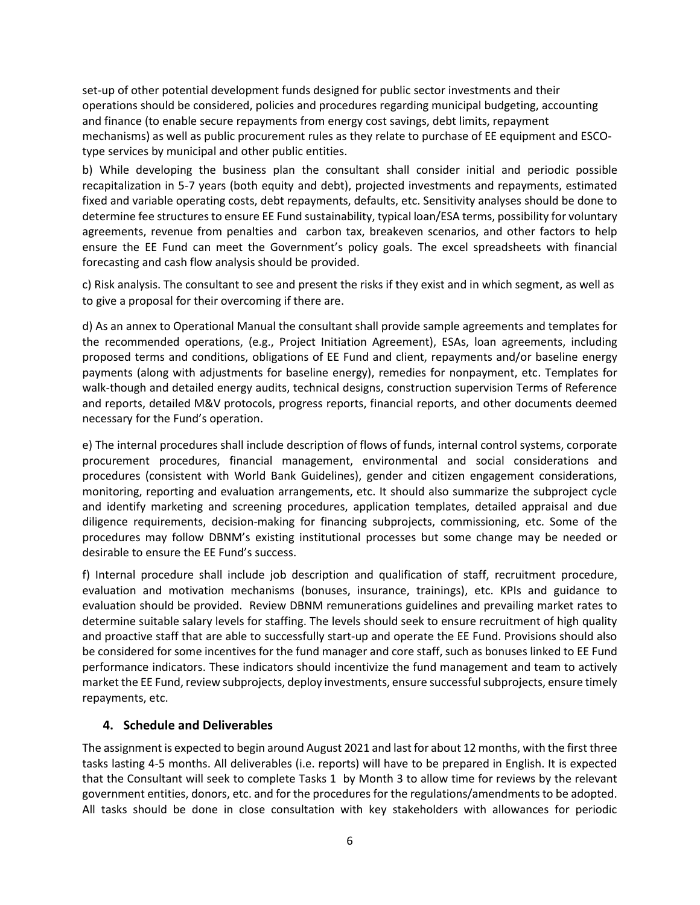set-up of other potential development funds designed for public sector investments and their operations should be considered, policies and procedures regarding municipal budgeting, accounting and finance (to enable secure repayments from energy cost savings, debt limits, repayment mechanisms) as well as public procurement rules as they relate to purchase of EE equipment and ESCOtype services by municipal and other public entities.

b) While developing the business plan the consultant shall consider initial and periodic possible recapitalization in 5-7 years (both equity and debt), projected investments and repayments, estimated fixed and variable operating costs, debt repayments, defaults, etc. Sensitivity analyses should be done to determine fee structures to ensure EE Fund sustainability, typical loan/ESA terms, possibility for voluntary agreements, revenue from penalties and carbon tax, breakeven scenarios, and other factors to help ensure the EE Fund can meet the Government's policy goals. The excel spreadsheets with financial forecasting and cash flow analysis should be provided.

c) Risk analysis. The consultant to see and present the risks if they exist and in which segment, as well as to give a proposal for their overcoming if there are.

d) As an annex to Operational Manual the consultant shall provide sample agreements and templates for the recommended operations, (e.g., Project Initiation Agreement), ESAs, loan agreements, including proposed terms and conditions, obligations of EE Fund and client, repayments and/or baseline energy payments (along with adjustments for baseline energy), remedies for nonpayment, etc. Templates for walk-though and detailed energy audits, technical designs, construction supervision Terms of Reference and reports, detailed M&V protocols, progress reports, financial reports, and other documents deemed necessary for the Fund's operation.

e) The internal procedures shall include description of flows of funds, internal control systems, corporate procurement procedures, financial management, environmental and social considerations and procedures (consistent with World Bank Guidelines), gender and citizen engagement considerations, monitoring, reporting and evaluation arrangements, etc. It should also summarize the subproject cycle and identify marketing and screening procedures, application templates, detailed appraisal and due diligence requirements, decision-making for financing subprojects, commissioning, etc. Some of the procedures may follow DBNM's existing institutional processes but some change may be needed or desirable to ensure the EE Fund's success.

f) Internal procedure shall include job description and qualification of staff, recruitment procedure, evaluation and motivation mechanisms (bonuses, insurance, trainings), etc. KPIs and guidance to evaluation should be provided. Review DBNM remunerations guidelines and prevailing market rates to determine suitable salary levels for staffing. The levels should seek to ensure recruitment of high quality and proactive staff that are able to successfully start-up and operate the EE Fund. Provisions should also be considered for some incentives for the fund manager and core staff, such as bonuses linked to EE Fund performance indicators. These indicators should incentivize the fund management and team to actively market the EE Fund, review subprojects, deploy investments, ensure successful subprojects, ensure timely repayments, etc.

## **4. Schedule and Deliverables**

The assignment is expected to begin around August 2021 and last for about 12 months, with the first three tasks lasting 4-5 months. All deliverables (i.e. reports) will have to be prepared in English. It is expected that the Consultant will seek to complete Tasks 1 by Month 3 to allow time for reviews by the relevant government entities, donors, etc. and for the procedures for the regulations/amendments to be adopted. All tasks should be done in close consultation with key stakeholders with allowances for periodic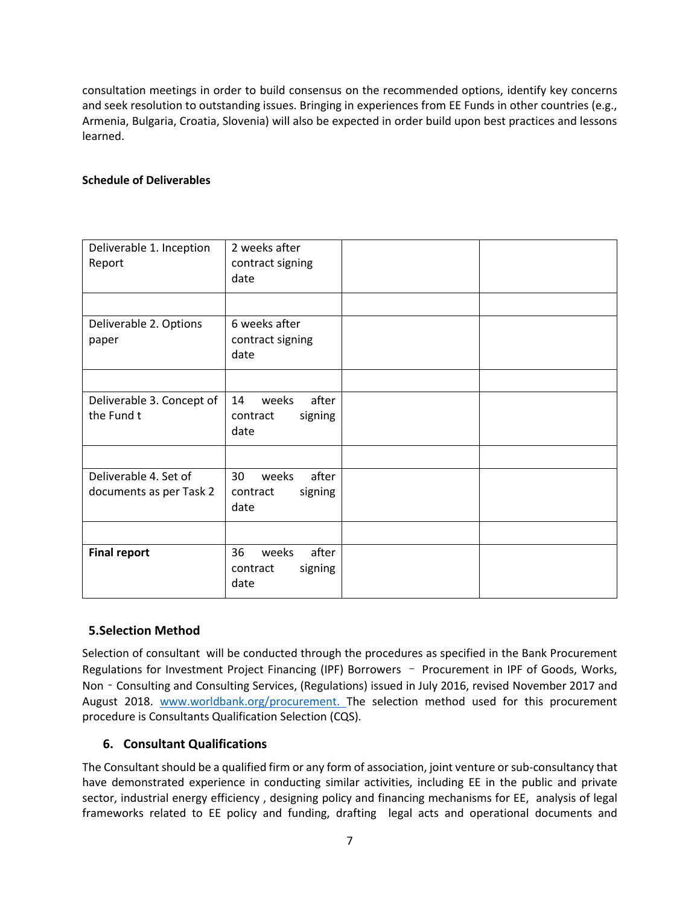consultation meetings in order to build consensus on the recommended options, identify key concerns and seek resolution to outstanding issues. Bringing in experiences from EE Funds in other countries (e.g., Armenia, Bulgaria, Croatia, Slovenia) will also be expected in order build upon best practices and lessons learned.

### **Schedule of Deliverables**

| Deliverable 1. Inception<br>Report               | 2 weeks after<br>contract signing<br>date           |  |
|--------------------------------------------------|-----------------------------------------------------|--|
|                                                  |                                                     |  |
| Deliverable 2. Options<br>paper                  | 6 weeks after<br>contract signing<br>date           |  |
|                                                  |                                                     |  |
| Deliverable 3. Concept of<br>the Fund t          | after<br>14<br>weeks<br>signing<br>contract<br>date |  |
|                                                  |                                                     |  |
| Deliverable 4. Set of<br>documents as per Task 2 | 30<br>after<br>weeks<br>signing<br>contract<br>date |  |
|                                                  |                                                     |  |
| <b>Final report</b>                              | 36<br>after<br>weeks<br>signing<br>contract<br>date |  |

## **5.Selection Method**

Selection of consultant will be conducted through the procedures as specified in the Bank Procurement Regulations for Investment Project Financing (IPF) Borrowers – Procurement in IPF of Goods, Works, Non - Consulting and Consulting Services, (Regulations) issued in July 2016, revised November 2017 and August 2018. [www.worldbank.org/procurement. The](http://www.worldbank.org/procurement.%20The) selection method used for this procurement procedure is Consultants Qualification Selection (CQS).

## **6. Consultant Qualifications**

The Consultant should be a qualified firm or any form of association, joint venture or sub-consultancy that have demonstrated experience in conducting similar activities, including EE in the public and private sector, industrial energy efficiency , designing policy and financing mechanisms for EE, analysis of legal frameworks related to EE policy and funding, drafting legal acts and operational documents and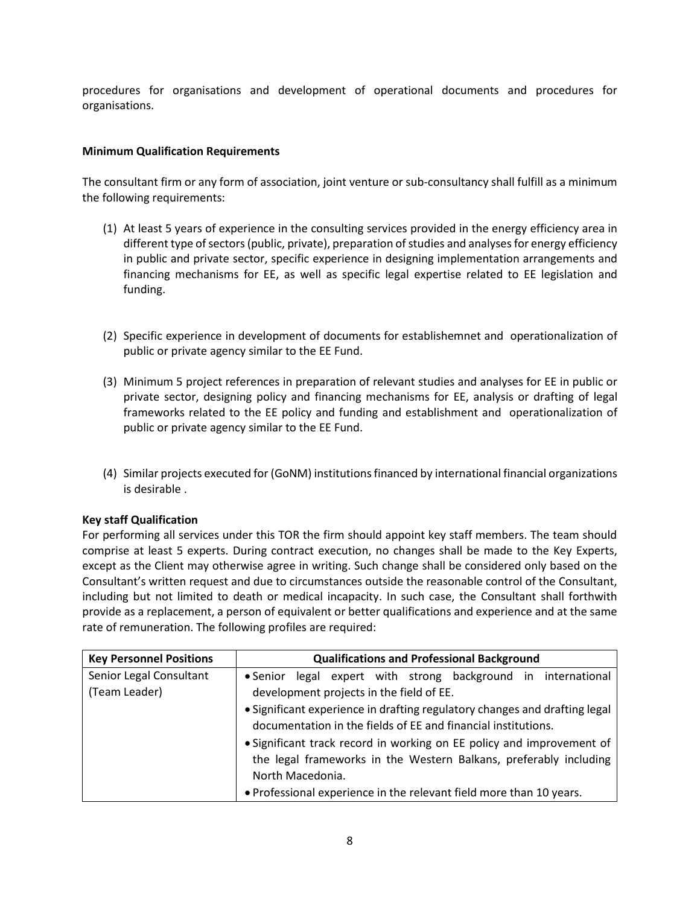procedures for organisations and development of operational documents and procedures for organisations.

### **Minimum Qualification Requirements**

The consultant firm or any form of association, joint venture or sub-consultancy shall fulfill as a minimum the following requirements:

- (1) At least 5 years of experience in the consulting services provided in the energy efficiency area in different type of sectors (public, private), preparation of studies and analyses for energy efficiency in public and private sector, specific experience in designing implementation arrangements and financing mechanisms for EE, as well as specific legal expertise related to EE legislation and funding.
- (2) Specific experience in development of documents for establishemnet and operationalization of public or private agency similar to the EE Fund.
- (3) Minimum 5 project references in preparation of relevant studies and analyses for EE in public or private sector, designing policy and financing mechanisms for EE, analysis or drafting of legal frameworks related to the EE policy and funding and establishment and operationalization of public or private agency similar to the EE Fund.
- (4) Similar projects executed for (GoNM) institutions financed by international financial organizations is desirable .

#### **Key staff Qualification**

For performing all services under this TOR the firm should appoint key staff members. The team should comprise at least 5 experts. During contract execution, no changes shall be made to the Key Experts, except as the Client may otherwise agree in writing. Such change shall be considered only based on the Consultant's written request and due to circumstances outside the reasonable control of the Consultant, including but not limited to death or medical incapacity. In such case, the Consultant shall forthwith provide as a replacement, a person of equivalent or better qualifications and experience and at the same rate of remuneration. The following profiles are required:

| <b>Key Personnel Positions</b> | <b>Qualifications and Professional Background</b>                                                                                           |  |  |
|--------------------------------|---------------------------------------------------------------------------------------------------------------------------------------------|--|--|
| Senior Legal Consultant        | • Senior legal expert with strong background in international                                                                               |  |  |
| (Team Leader)                  | development projects in the field of EE.                                                                                                    |  |  |
|                                | • Significant experience in drafting regulatory changes and drafting legal<br>documentation in the fields of EE and financial institutions. |  |  |
|                                |                                                                                                                                             |  |  |
|                                | • Significant track record in working on EE policy and improvement of                                                                       |  |  |
|                                | the legal frameworks in the Western Balkans, preferably including                                                                           |  |  |
|                                | North Macedonia.                                                                                                                            |  |  |
|                                | • Professional experience in the relevant field more than 10 years.                                                                         |  |  |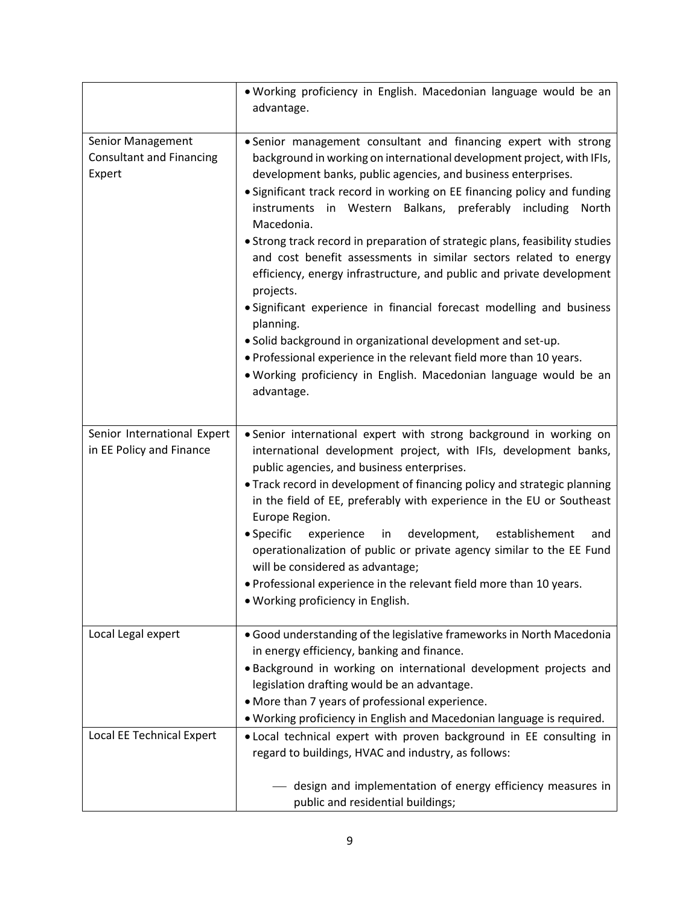|                                                                | . Working proficiency in English. Macedonian language would be an<br>advantage.                                                                                                                                                                                                                                                                                                                                                                                                                                                                                                                                                                                                                                                                                                                                                                                                                                                     |  |
|----------------------------------------------------------------|-------------------------------------------------------------------------------------------------------------------------------------------------------------------------------------------------------------------------------------------------------------------------------------------------------------------------------------------------------------------------------------------------------------------------------------------------------------------------------------------------------------------------------------------------------------------------------------------------------------------------------------------------------------------------------------------------------------------------------------------------------------------------------------------------------------------------------------------------------------------------------------------------------------------------------------|--|
| Senior Management<br><b>Consultant and Financing</b><br>Expert | • Senior management consultant and financing expert with strong<br>background in working on international development project, with IFIs,<br>development banks, public agencies, and business enterprises.<br>• Significant track record in working on EE financing policy and funding<br>instruments in Western Balkans, preferably<br>including<br>North<br>Macedonia.<br>• Strong track record in preparation of strategic plans, feasibility studies<br>and cost benefit assessments in similar sectors related to energy<br>efficiency, energy infrastructure, and public and private development<br>projects.<br>• Significant experience in financial forecast modelling and business<br>planning.<br>. Solid background in organizational development and set-up.<br>. Professional experience in the relevant field more than 10 years.<br>. Working proficiency in English. Macedonian language would be an<br>advantage. |  |
| Senior International Expert<br>in EE Policy and Finance        | • Senior international expert with strong background in working on<br>international development project, with IFIs, development banks,<br>public agencies, and business enterprises.<br>• Track record in development of financing policy and strategic planning<br>in the field of EE, preferably with experience in the EU or Southeast<br>Europe Region.<br>• Specific<br>experience<br>development,<br>establishement<br>in<br>and<br>operationalization of public or private agency similar to the EE Fund<br>will be considered as advantage;<br>. Professional experience in the relevant field more than 10 years.<br>. Working proficiency in English.                                                                                                                                                                                                                                                                     |  |
| Local Legal expert                                             | • Good understanding of the legislative frameworks in North Macedonia<br>in energy efficiency, banking and finance.<br>. Background in working on international development projects and<br>legislation drafting would be an advantage.<br>• More than 7 years of professional experience.<br>. Working proficiency in English and Macedonian language is required.                                                                                                                                                                                                                                                                                                                                                                                                                                                                                                                                                                 |  |
| Local EE Technical Expert                                      | . Local technical expert with proven background in EE consulting in<br>regard to buildings, HVAC and industry, as follows:<br>- design and implementation of energy efficiency measures in<br>public and residential buildings;                                                                                                                                                                                                                                                                                                                                                                                                                                                                                                                                                                                                                                                                                                     |  |